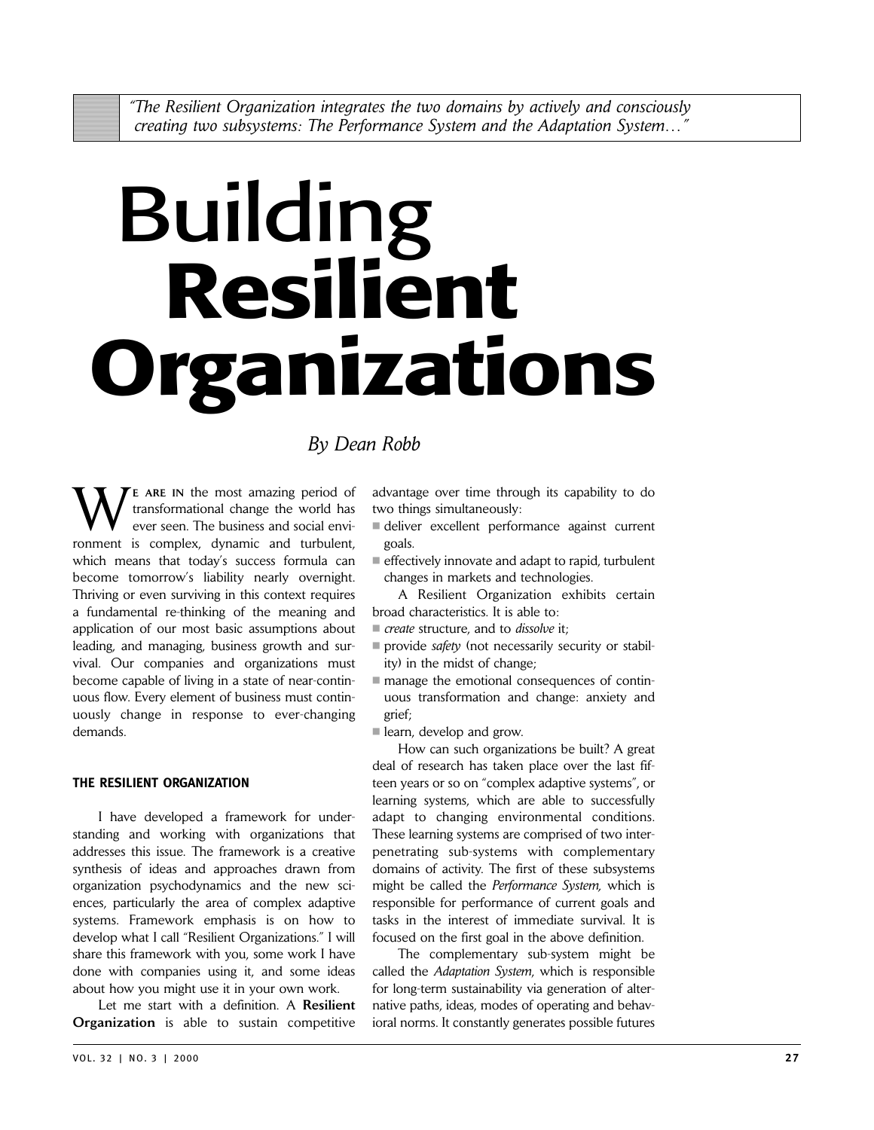# Building **Resilient Organizations**

# *By Dean Robb*

**E** ARE IN the most amazing period of transformational change the world has ever seen. The business and social environment is complex, dynamic and turbulent, which means that today's success formula can become tomorrow's liability nearly overnight. Thriving or even surviving in this context requires a fundamental re-thinking of the meaning and application of our most basic assumptions about leading, and managing, business growth and survival. Our companies and organizations must become capable of living in a state of near-continuous flow. Every element of business must continuously change in response to ever-changing demands.

# **THE RESILIENT ORGANIZATION**

I have developed a framework for understanding and working with organizations that addresses this issue. The framework is a creative synthesis of ideas and approaches drawn from organization psychodynamics and the new sciences, particularly the area of complex adaptive systems. Framework emphasis is on how to develop what I call "Resilient Organizations." I will share this framework with you, some work I have done with companies using it, and some ideas about how you might use it in your own work.

Let me start with a definition. A **Resilient Organization** is able to sustain competitive

advantage over time through its capability to do two things simultaneously:

- deliver excellent performance against current goals.
- effectively innovate and adapt to rapid, turbulent changes in markets and technologies.

A Resilient Organization exhibits certain broad characteristics. It is able to:

- *create* structure, and to *dissolve* it;
- provide *safety* (not necessarily security or stability) in the midst of change;
- manage the emotional consequences of continuous transformation and change: anxiety and grief;

learn, develop and grow.

How can such organizations be built? A great deal of research has taken place over the last fifteen years or so on "complex adaptive systems", or learning systems, which are able to successfully adapt to changing environmental conditions. These learning systems are comprised of two interpenetrating sub-systems with complementary domains of activity. The first of these subsystems might be called the *Performance System,* which is responsible for performance of current goals and tasks in the interest of immediate survival. It is focused on the first goal in the above definition.

The complementary sub-system might be called the *Adaptation System*, which is responsible for long-term sustainability via generation of alternative paths, ideas, modes of operating and behavioral norms. It constantly generates possible futures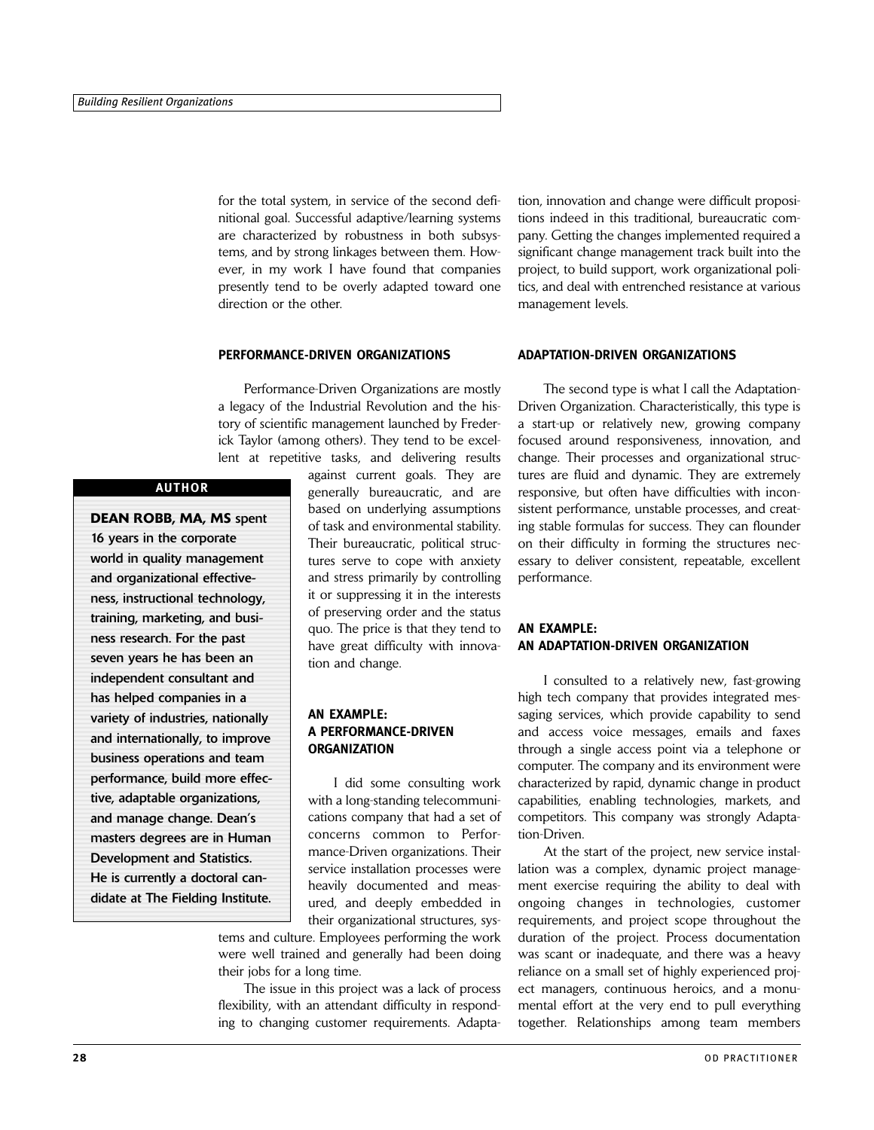for the total system, in service of the second definitional goal. Successful adaptive/learning systems are characterized by robustness in both subsystems, and by strong linkages between them. However, in my work I have found that companies presently tend to be overly adapted toward one direction or the other.

#### **PERFORMANCE-DRIVEN ORGANIZATIONS**

Performance-Driven Organizations are mostly a legacy of the Industrial Revolution and the history of scientific management launched by Frederick Taylor (among others). They tend to be excellent at repetitive tasks, and delivering results

## **AUTHOR**

**DEAN ROBB, MA, MS** spent 16 years in the corporate world in quality management and organizational effectiveness, instructional technology, training, marketing, and business research. For the past seven years he has been an independent consultant and has helped companies in a variety of industries, nationally and internationally, to improve business operations and team performance, build more effective, adaptable organizations, and manage change. Dean's masters degrees are in Human Development and Statistics. He is currently a doctoral candidate at The Fielding Institute.

against current goals. They are generally bureaucratic, and are based on underlying assumptions of task and environmental stability. Their bureaucratic, political structures serve to cope with anxiety and stress primarily by controlling it or suppressing it in the interests of preserving order and the status quo. The price is that they tend to have great difficulty with innovation and change.

# **AN EXAMPLE: A PERFORMANCE-DRIVEN ORGANIZATION**

I did some consulting work with a long-standing telecommunications company that had a set of concerns common to Performance-Driven organizations. Their service installation processes were heavily documented and measured, and deeply embedded in their organizational structures, sys-

tems and culture. Employees performing the work were well trained and generally had been doing their jobs for a long time.

The issue in this project was a lack of process flexibility, with an attendant difficulty in responding to changing customer requirements. Adaptation, innovation and change were difficult propositions indeed in this traditional, bureaucratic company. Getting the changes implemented required a significant change management track built into the project, to build support, work organizational politics, and deal with entrenched resistance at various management levels.

#### **ADAPTATION-DRIVEN ORGANIZATIONS**

The second type is what I call the Adaptation-Driven Organization. Characteristically, this type is a start-up or relatively new, growing company focused around responsiveness, innovation, and change. Their processes and organizational structures are fluid and dynamic. They are extremely responsive, but often have difficulties with inconsistent performance, unstable processes, and creating stable formulas for success. They can flounder on their difficulty in forming the structures necessary to deliver consistent, repeatable, excellent performance.

## **AN EXAMPLE: AN ADAPTATION-DRIVEN ORGANIZATION**

I consulted to a relatively new, fast-growing high tech company that provides integrated messaging services, which provide capability to send and access voice messages, emails and faxes through a single access point via a telephone or computer. The company and its environment were characterized by rapid, dynamic change in product capabilities, enabling technologies, markets, and competitors. This company was strongly Adaptation-Driven.

At the start of the project, new service installation was a complex, dynamic project management exercise requiring the ability to deal with ongoing changes in technologies, customer requirements, and project scope throughout the duration of the project. Process documentation was scant or inadequate, and there was a heavy reliance on a small set of highly experienced project managers, continuous heroics, and a monumental effort at the very end to pull everything together. Relationships among team members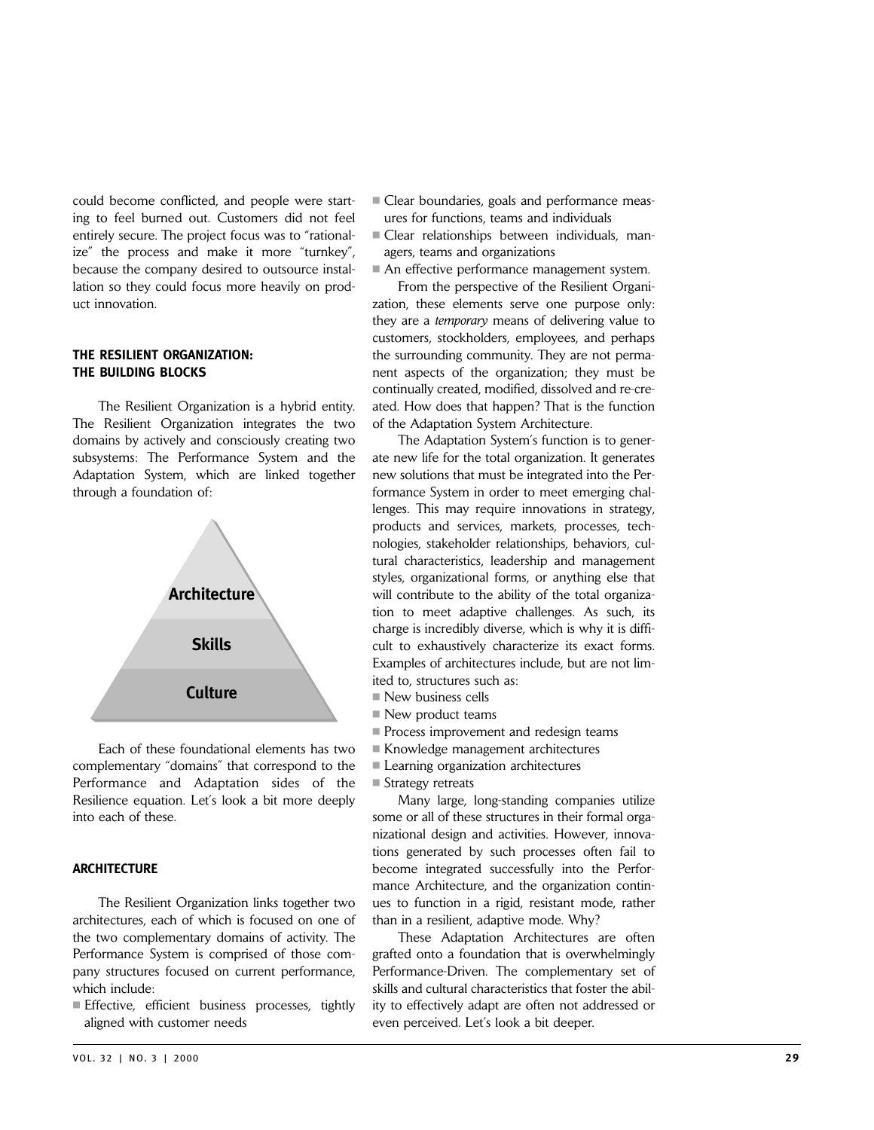could become conflicted, and people were starting to feel burned out. Customers did not feel entirely secure. The project focus was to "rationalize" the process and make it more "turnkey", because the company desired to outsource installation so they could focus more heavily on product innovation.

## **THE RESILIENT ORGANIZATION: THE BUILDING BLOCKS**

The Resilient Organization is a hybrid entity. The Resilient Organization integrates the two domains by actively and consciously creating two subsystems: The Performance System and the Adaptation System, which are linked together through a foundation of:



Each of these foundational elements has two complementary "domains" that correspond to the Performance and Adaptation sides of the Resilience equation. Let's look a bit more deeply into each of these.

#### **ARCHITECTURE**

The Resilient Organization links together two architectures, each of which is focused on one of the two complementary domains of activity. The Performance System is comprised of those company structures focused on current performance, which include:

Effective, efficient business processes, tightly aligned with customer needs

- Clear relationships between individuals, managers, teams and organizations
	- An effective performance management system.

■ Clear boundaries, goals and performance measures for functions, teams and individuals

From the perspective of the Resilient Organization, these elements serve one purpose only: they are a *temporary* means of delivering value to customers, stockholders, employees, and perhaps the surrounding community. They are not permanent aspects of the organization; they must be continually created, modified, dissolved and re-created. How does that happen? That is the function of the Adaptation System Architecture.

The Adaptation System's function is to generate new life for the total organization. It generates new solutions that must be integrated into the Performance System in order to meet emerging challenges. This may require innovations in strategy, products and services, markets, processes, technologies, stakeholder relationships, behaviors, cultural characteristics, leadership and management styles, organizational forms, or anything else that will contribute to the ability of the total organization to meet adaptive challenges. As such, its charge is incredibly diverse, which is why it is difficult to exhaustively characterize its exact forms. Examples of architectures include, but are not limited to, structures such as:

- $\blacksquare$  New business cells
- New product teams
- Process improvement and redesign teams
- Knowledge management architectures
- **Learning organization architectures**
- Strategy retreats

Many large, long-standing companies utilize some or all of these structures in their formal organizational design and activities. However, innovations generated by such processes often fail to become integrated successfully into the Performance Architecture, and the organization continues to function in a rigid, resistant mode, rather than in a resilient, adaptive mode. Why?

These Adaptation Architectures are often grafted onto a foundation that is overwhelmingly Performance-Driven. The complementary set of skills and cultural characteristics that foster the ability to effectively adapt are often not addressed or even perceived. Let's look a bit deeper.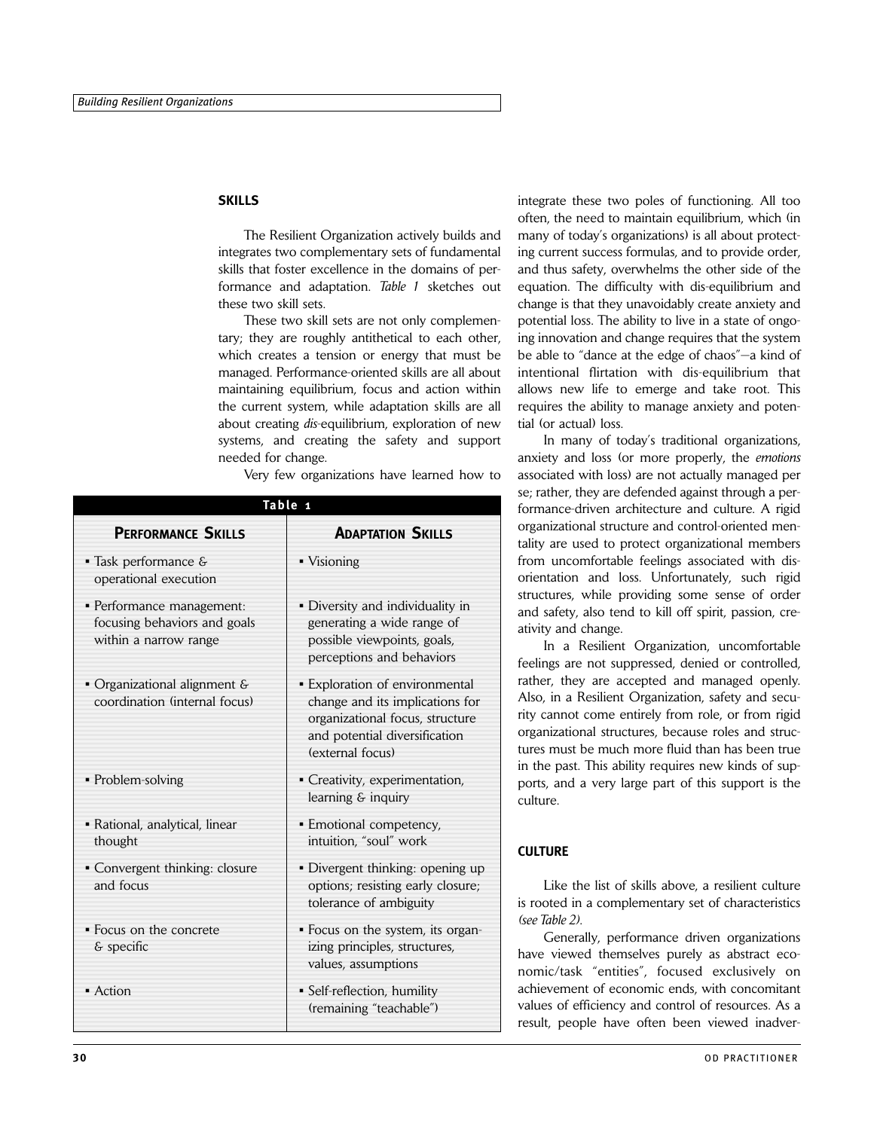#### **SKILLS**

The Resilient Organization actively builds and integrates two complementary sets of fundamental skills that foster excellence in the domains of performance and adaptation. *Table 1* sketches out these two skill sets.

These two skill sets are not only complementary; they are roughly antithetical to each other, which creates a tension or energy that must be managed. Performance-oriented skills are all about maintaining equilibrium, focus and action within the current system, while adaptation skills are all about creating *dis*-equilibrium, exploration of new systems, and creating the safety and support needed for change.

Very few organizations have learned how to

| Table 1                                                                            |                                                                                                                                                           |
|------------------------------------------------------------------------------------|-----------------------------------------------------------------------------------------------------------------------------------------------------------|
| <b>PERFORMANCE SKILLS</b>                                                          | <b>ADAPTATION SKILLS</b>                                                                                                                                  |
| $\blacksquare$ Task performance &<br>operational execution                         | • Visioning                                                                                                                                               |
| · Performance management:<br>focusing behaviors and goals<br>within a narrow range | • Diversity and individuality in<br>generating a wide range of<br>possible viewpoints, goals,<br>perceptions and behaviors                                |
| • Organizational alignment &<br>coordination (internal focus)                      | • Exploration of environmental<br>change and its implications for<br>organizational focus, structure<br>and potential diversification<br>(external focus) |
| • Problem-solving                                                                  | • Creativity, experimentation,<br>learning & inquiry                                                                                                      |
| • Rational, analytical, linear<br>thought                                          | • Emotional competency,<br>intuition, "soul" work                                                                                                         |
| · Convergent thinking: closure<br>and focus                                        | · Divergent thinking: opening up<br>options; resisting early closure;<br>tolerance of ambiguity                                                           |
| • Focus on the concrete<br>& specific                                              | • Focus on the system, its organ-<br>izing principles, structures,<br>values, assumptions                                                                 |
| • Action                                                                           | · Self-reflection, humility<br>(remaining "teachable")                                                                                                    |

integrate these two poles of functioning. All too often, the need to maintain equilibrium, which (in many of today's organizations) is all about protecting current success formulas, and to provide order, and thus safety, overwhelms the other side of the equation. The difficulty with dis-equilibrium and change is that they unavoidably create anxiety and potential loss. The ability to live in a state of ongoing innovation and change requires that the system be able to "dance at the edge of chaos"—a kind of intentional flirtation with dis-equilibrium that allows new life to emerge and take root. This requires the ability to manage anxiety and potential (or actual) loss.

In many of today's traditional organizations, anxiety and loss (or more properly, the *emotions* associated with loss) are not actually managed per se; rather, they are defended against through a performance-driven architecture and culture. A rigid organizational structure and control-oriented mentality are used to protect organizational members from uncomfortable feelings associated with disorientation and loss. Unfortunately, such rigid structures, while providing some sense of order and safety, also tend to kill off spirit, passion, creativity and change.

In a Resilient Organization, uncomfortable feelings are not suppressed, denied or controlled, rather, they are accepted and managed openly. Also, in a Resilient Organization, safety and security cannot come entirely from role, or from rigid organizational structures, because roles and structures must be much more fluid than has been true in the past. This ability requires new kinds of supports, and a very large part of this support is the culture.

#### **CULTURE**

Like the list of skills above, a resilient culture is rooted in a complementary set of characteristics *(see Table 2).*

Generally, performance driven organizations have viewed themselves purely as abstract economic/task "entities", focused exclusively on achievement of economic ends, with concomitant values of efficiency and control of resources. As a result, people have often been viewed inadver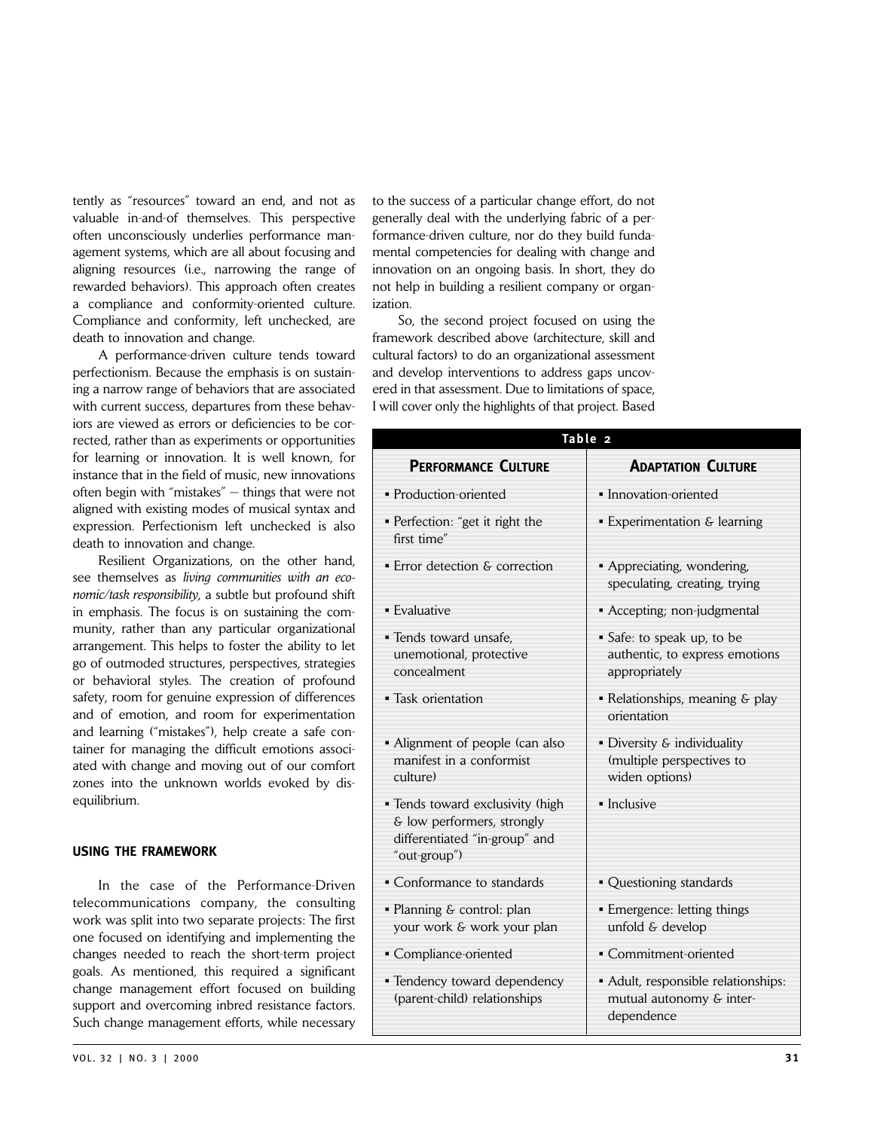tently as "resources" toward an end, and not as valuable in-and-of themselves. This perspective often unconsciously underlies performance management systems, which are all about focusing and aligning resources (i.e., narrowing the range of rewarded behaviors). This approach often creates a compliance and conformity-oriented culture. Compliance and conformity, left unchecked, are death to innovation and change.

A performance-driven culture tends toward perfectionism. Because the emphasis is on sustaining a narrow range of behaviors that are associated with current success, departures from these behaviors are viewed as errors or deficiencies to be corrected, rather than as experiments or opportunities for learning or innovation. It is well known, for instance that in the field of music, new innovations often begin with "mistakes" — things that were not aligned with existing modes of musical syntax and expression. Perfectionism left unchecked is also death to innovation and change.

Resilient Organizations, on the other hand, see themselves as *living communities with an economic/task responsibility,* a subtle but profound shift in emphasis. The focus is on sustaining the community, rather than any particular organizational arrangement. This helps to foster the ability to let go of outmoded structures, perspectives, strategies or behavioral styles. The creation of profound safety, room for genuine expression of differences and of emotion, and room for experimentation and learning ("mistakes"), help create a safe container for managing the difficult emotions associated with change and moving out of our comfort zones into the unknown worlds evoked by disequilibrium.

#### **USING THE FRAMEWORK**

In the case of the Performance-Driven telecommunications company, the consulting work was split into two separate projects: The first one focused on identifying and implementing the changes needed to reach the short-term project goals. As mentioned, this required a significant change management effort focused on building support and overcoming inbred resistance factors. Such change management efforts, while necessary

to the success of a particular change effort, do not generally deal with the underlying fabric of a performance-driven culture, nor do they build fundamental competencies for dealing with change and innovation on an ongoing basis. In short, they do not help in building a resilient company or organization.

So, the second project focused on using the framework described above (architecture, skill and cultural factors) to do an organizational assessment and develop interventions to address gaps uncovered in that assessment. Due to limitations of space, I will cover only the highlights of that project. Based

| Table 2                                                                                                         |                                                                               |  |
|-----------------------------------------------------------------------------------------------------------------|-------------------------------------------------------------------------------|--|
| <b>PERFORMANCE CULTURE</b>                                                                                      | <b>ADAPTATION CULTURE</b>                                                     |  |
| • Production-oriented                                                                                           | • Innovation-oriented                                                         |  |
| • Perfection: "get it right the<br>first time"                                                                  | • Experimentation & learning                                                  |  |
| • Error detection & correction                                                                                  | • Appreciating, wondering,<br>speculating, creating, trying                   |  |
| • Evaluative                                                                                                    | • Accepting; non-judgmental                                                   |  |
| · Tends toward unsafe,<br>unemotional, protective<br>concealment                                                | • Safe: to speak up, to be<br>authentic, to express emotions<br>appropriately |  |
| • Task orientation                                                                                              | • Relationships, meaning & play<br>orientation                                |  |
| • Alignment of people (can also<br>manifest in a conformist<br>culture)                                         | • Diversity & individuality<br>(multiple perspectives to<br>widen options)    |  |
| • Tends toward exclusivity (high<br>& low performers, strongly<br>differentiated "in-group" and<br>"out-group") | • Inclusive                                                                   |  |
| • Conformance to standards                                                                                      | • Questioning standards                                                       |  |
| • Planning & control: plan<br>your work & work your plan                                                        | • Emergence: letting things<br>unfold & develop                               |  |
| • Compliance-oriented                                                                                           | • Commitment-oriented                                                         |  |
| • Tendency toward dependency<br>(parent-child) relationships                                                    | • Adult, responsible relationships:<br>mutual autonomy & inter-<br>dependence |  |